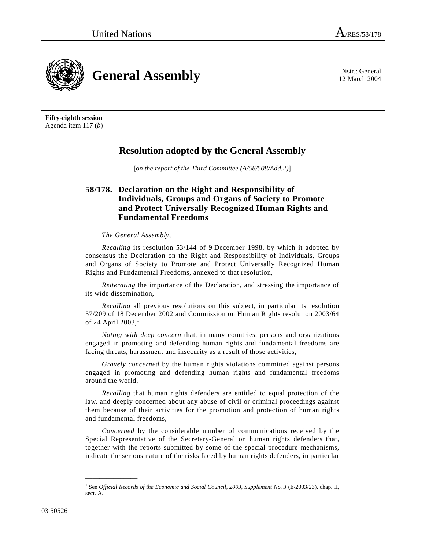12 March 2004



**Fifty-eighth session**  Agenda item 117 (*b*)

## **Resolution adopted by the General Assembly**

[*on the report of the Third Committee (A/58/508/Add.2)*]

## **58/178. Declaration on the Right and Responsibility of Individuals, Groups and Organs of Society to Promote and Protect Universally Recognized Human Rights and Fundamental Freedoms**

## *The General Assembly*,

*Recalling* its resolution 53/144 of 9 December 1998, by which it adopted by consensus the Declaration on the Right and Responsibility of Individuals, Groups and Organs of Society to Promote and Protect Universally Recognized Human Rights and Fundamental Freedoms, annexed to that resolution,

*Reiterating* the importance of the Declaration, and stressing the importance of its wide dissemination,

*Recalling* all previous resolutions on this subject, in particular its resolution 57/209 of 18 December 2002 and Commission on Human Rights resolution 2003/64 of 24 April 2003, $<sup>1</sup>$ </sup>

*Noting with deep concern* that, in many countries, persons and organizations engaged in promoting and defending human rights and fundamental freedoms are facing threats, harassment and insecurity as a result of those activities,

*Gravely concerned* by the human rights violations committed against persons engaged in promoting and defending human rights and fundamental freedoms around the world,

*Recalling* that human rights defenders are entitled to equal protection of the law, and deeply concerned about any abuse of civil or criminal proceedings against them because of their activities for the promotion and protection of human rights and fundamental freedoms,

*Concerned* by the considerable number of communications received by the Special Representative of the Secretary-General on human rights defenders that, together with the reports submitted by some of the special procedure mechanisms, indicate the serious nature of the risks faced by human rights defenders, in particular

**\_\_\_\_\_\_\_\_\_\_\_\_\_\_\_** 

<sup>&</sup>lt;sup>1</sup> See *Official Records of the Economic and Social Council, 2003, Supplement No. 3* (E/2003/23), chap. II, sect. A.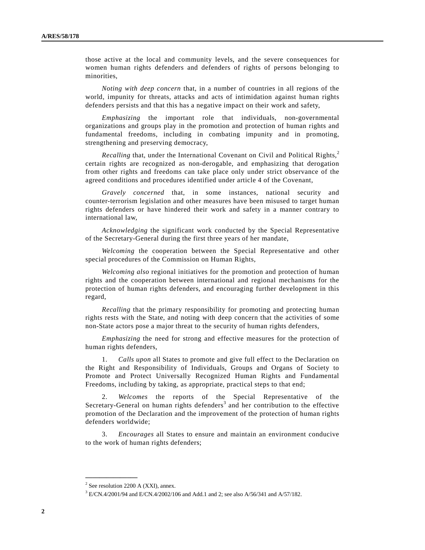those active at the local and community levels, and the severe consequences for women human rights defenders and defenders of rights of persons belonging to minorities,

*Noting with deep concern* that, in a number of countries in all regions of the world, impunity for threats, attacks and acts of intimidation against human rights defenders persists and that this has a negative impact on their work and safety,

*Emphasizing* the important role that individuals, non-governmental organizations and groups play in the promotion and protection of human rights and fundamental freedoms, including in combating impunity and in promoting, strengthening and preserving democracy,

*Recalling* that, under the International Covenant on Civil and Political Rights,<sup>2</sup> certain rights are recognized as non-derogable, and emphasizing that derogation from other rights and freedoms can take place only under strict observance of the agreed conditions and procedures identified under article 4 of the Covenant,

*Gravely concerned* that, in some instances, national security and counter-terrorism legislation and other measures have been misused to target human rights defenders or have hindered their work and safety in a manner contrary to international law,

*Acknowledging* the significant work conducted by the Special Representative of the Secretary-General during the first three years of her mandate,

*Welcoming* the cooperation between the Special Representative and other special procedures of the Commission on Human Rights,

*Welcoming also* regional initiatives for the promotion and protection of human rights and the cooperation between international and regional mechanisms for the protection of human rights defenders, and encouraging further development in this regard,

*Recalling* that the primary responsibility for promoting and protecting human rights rests with the State, and noting with deep concern that the activities of some non-State actors pose a major threat to the security of human rights defenders,

*Emphasizing* the need for strong and effective measures for the protection of human rights defenders,

 1. *Calls upon* all States to promote and give full effect to the Declaration on the Right and Responsibility of Individuals, Groups and Organs of Society to Promote and Protect Universally Recognized Human Rights and Fundamental Freedoms, including by taking, as appropriate, practical steps to that end;

 2. *Welcomes* the reports of the Special Representative of the Secretary-General on human rights defenders<sup>3</sup> and her contribution to the effective promotion of the Declaration and the improvement of the protection of human rights defenders worldwide;

 3. *Encourages* all States to ensure and maintain an environment conducive to the work of human rights defenders;

**\_\_\_\_\_\_\_\_\_\_\_\_\_\_\_** 

<sup>2</sup> See resolution 2200 A (XXI), annex.

 $3 \text{ E/CN}.4/2001/94$  and  $\text{E/CN}.4/2002/106$  and Add.1 and 2; see also A/56/341 and A/57/182.